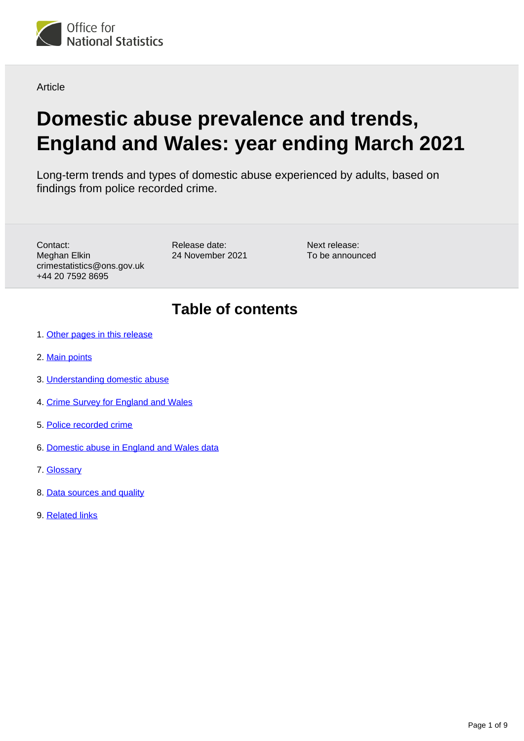

**Article** 

# **Domestic abuse prevalence and trends, England and Wales: year ending March 2021**

Long-term trends and types of domestic abuse experienced by adults, based on findings from police recorded crime.

Contact: Meghan Elkin crimestatistics@ons.gov.uk +44 20 7592 8695

Release date: 24 November 2021 Next release: To be announced

## **Table of contents**

- 1. [Other pages in this release](#page-1-0)
- 2. [Main points](#page-1-1)
- 3. [Understanding domestic abuse](#page-1-2)
- 4. [Crime Survey for England and Wales](#page-2-0)
- 5. [Police recorded crime](#page-3-0)
- 6. [Domestic abuse in England and Wales data](#page-6-0)
- 7. [Glossary](#page-6-1)
- 8. [Data sources and quality](#page-7-0)
- 9. [Related links](#page-8-0)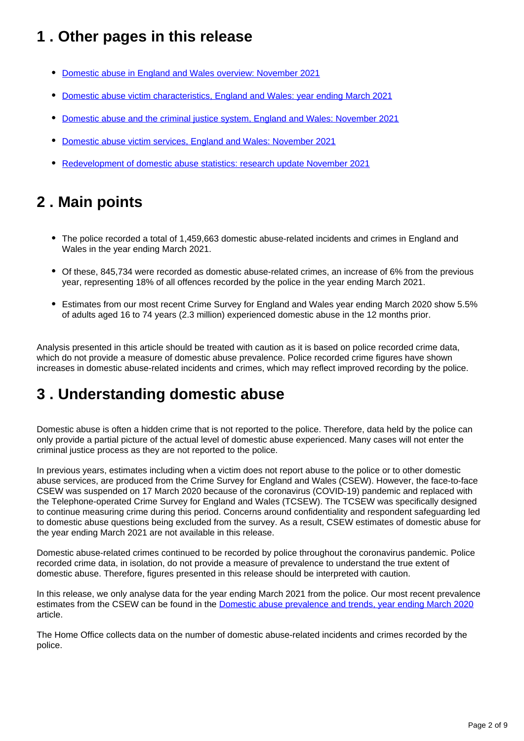## <span id="page-1-0"></span>**1 . Other pages in this release**

- [Domestic abuse in England and Wales overview: November 2021](https://www.ons.gov.uk/peoplepopulationandcommunity/crimeandjustice/bulletins/domesticabuseinenglandandwalesoverview/november2021)
- [Domestic abuse victim characteristics, England and Wales: year ending March 2021](https://www.ons.gov.uk/peoplepopulationandcommunity/crimeandjustice/articles/domesticabusevictimcharacteristicsenglandandwales/yearendingmarch2021)
- [Domestic abuse and the criminal justice system, England and Wales: November 2021](https://www.ons.gov.uk/peoplepopulationandcommunity/crimeandjustice/articles/domesticabuseandthecriminaljusticesystemenglandandwales/november2021)
- [Domestic abuse victim services, England and Wales: November 2021](https://www.ons.gov.uk/peoplepopulationandcommunity/crimeandjustice/articles/domesticabusevictimservicesenglandandwales/november2021)
- [Redevelopment of domestic abuse statistics: research update November 2021](https://www.ons.gov.uk/peoplepopulationandcommunity/crimeandjustice/articles/redevelopmentofdomesticabusestatistics/researchupdatenovember2021)

## <span id="page-1-1"></span>**2 . Main points**

- The police recorded a total of 1,459,663 domestic abuse-related incidents and crimes in England and Wales in the year ending March 2021.
- Of these, 845,734 were recorded as domestic abuse-related crimes, an increase of 6% from the previous year, representing 18% of all offences recorded by the police in the year ending March 2021.
- Estimates from our most recent Crime Survey for England and Wales year ending March 2020 show 5.5% of adults aged 16 to 74 years (2.3 million) experienced domestic abuse in the 12 months prior.

Analysis presented in this article should be treated with caution as it is based on police recorded crime data, which do not provide a measure of domestic abuse prevalence. Police recorded crime figures have shown increases in domestic abuse-related incidents and crimes, which may reflect improved recording by the police.

## <span id="page-1-2"></span>**3 . Understanding domestic abuse**

Domestic abuse is often a hidden crime that is not reported to the police. Therefore, data held by the police can only provide a partial picture of the actual level of domestic abuse experienced. Many cases will not enter the criminal justice process as they are not reported to the police.

In previous years, estimates including when a victim does not report abuse to the police or to other domestic abuse services, are produced from the Crime Survey for England and Wales (CSEW). However, the face-to-face CSEW was suspended on 17 March 2020 because of the coronavirus (COVID-19) pandemic and replaced with the Telephone-operated Crime Survey for England and Wales (TCSEW). The TCSEW was specifically designed to continue measuring crime during this period. Concerns around confidentiality and respondent safeguarding led to domestic abuse questions being excluded from the survey. As a result, CSEW estimates of domestic abuse for the year ending March 2021 are not available in this release.

Domestic abuse-related crimes continued to be recorded by police throughout the coronavirus pandemic. Police recorded crime data, in isolation, do not provide a measure of prevalence to understand the true extent of domestic abuse. Therefore, figures presented in this release should be interpreted with caution.

In this release, we only analyse data for the year ending March 2021 from the police. Our most recent prevalence estimates from the CSEW can be found in the **Domestic abuse prevalence and trends**, year ending March 2020 article.

The Home Office collects data on the number of domestic abuse-related incidents and crimes recorded by the police.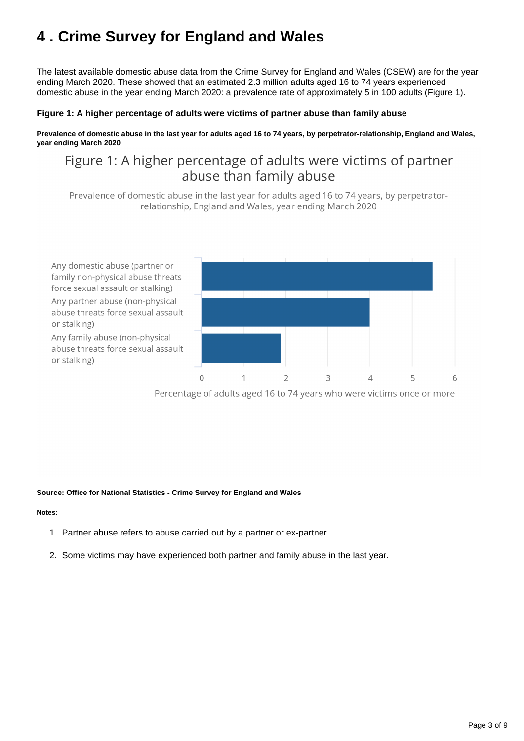## <span id="page-2-0"></span>**4 . Crime Survey for England and Wales**

The latest available domestic abuse data from the Crime Survey for England and Wales (CSEW) are for the year ending March 2020. These showed that an estimated 2.3 million adults aged 16 to 74 years experienced domestic abuse in the year ending March 2020: a prevalence rate of approximately 5 in 100 adults (Figure 1).

#### **Figure 1: A higher percentage of adults were victims of partner abuse than family abuse**

**Prevalence of domestic abuse in the last year for adults aged 16 to 74 years, by perpetrator-relationship, England and Wales, year ending March 2020**

### Figure 1: A higher percentage of adults were victims of partner abuse than family abuse

Prevalence of domestic abuse in the last year for adults aged 16 to 74 years, by perpetratorrelationship, England and Wales, year ending March 2020



Percentage of adults aged 16 to 74 years who were victims once or more

#### **Source: Office for National Statistics - Crime Survey for England and Wales**

#### **Notes:**

- 1. Partner abuse refers to abuse carried out by a partner or ex-partner.
- 2. Some victims may have experienced both partner and family abuse in the last year.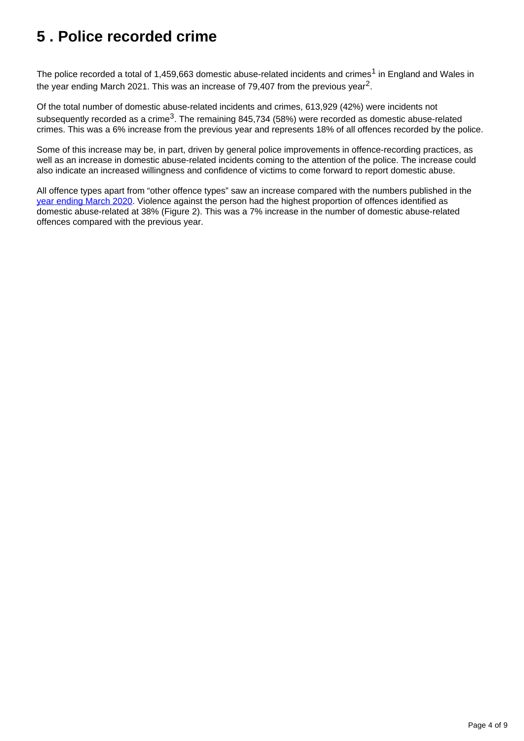## <span id="page-3-0"></span>**5 . Police recorded crime**

The police recorded a total of 1,459,663 domestic abuse-related incidents and crimes<sup>1</sup> in England and Wales in the year ending March 2021. This was an increase of 79,407 from the previous year<sup>2</sup>.

Of the total number of domestic abuse-related incidents and crimes, 613,929 (42%) were incidents not subsequently recorded as a crime<sup>3</sup>. The remaining 845,734 (58%) were recorded as domestic abuse-related crimes. This was a 6% increase from the previous year and represents 18% of all offences recorded by the police.

Some of this increase may be, in part, driven by general police improvements in offence-recording practices, as well as an increase in domestic abuse-related incidents coming to the attention of the police. The increase could also indicate an increased willingness and confidence of victims to come forward to report domestic abuse.

All offence types apart from "other offence types" saw an increase compared with the numbers published in the [year ending March 2020](https://www.ons.gov.uk/peoplepopulationandcommunity/crimeandjustice/articles/domesticabuseprevalenceandtrendsenglandandwales/yearendingmarch2020). Violence against the person had the highest proportion of offences identified as domestic abuse-related at 38% (Figure 2). This was a 7% increase in the number of domestic abuse-related offences compared with the previous year.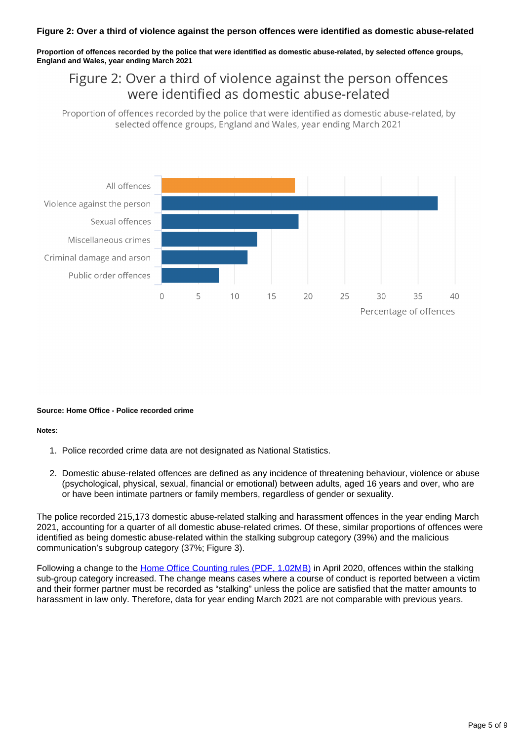**Proportion of offences recorded by the police that were identified as domestic abuse-related, by selected offence groups, England and Wales, year ending March 2021**

### Figure 2: Over a third of violence against the person offences were identified as domestic abuse-related

Proportion of offences recorded by the police that were identified as domestic abuse-related, by selected offence groups, England and Wales, year ending March 2021



#### **Source: Home Office - Police recorded crime**

#### **Notes:**

- 1. Police recorded crime data are not designated as National Statistics.
- 2. Domestic abuse-related offences are defined as any incidence of threatening behaviour, violence or abuse (psychological, physical, sexual, financial or emotional) between adults, aged 16 years and over, who are or have been intimate partners or family members, regardless of gender or sexuality.

The police recorded 215,173 domestic abuse-related stalking and harassment offences in the year ending March 2021, accounting for a quarter of all domestic abuse-related crimes. Of these, similar proportions of offences were identified as being domestic abuse-related within the stalking subgroup category (39%) and the malicious communication's subgroup category (37%; Figure 3).

Following a change to the [Home Office Counting rules \(PDF, 1.02MB\)](https://assets.publishing.service.gov.uk/government/uploads/system/uploads/attachment_data/file/992833/count-general-jun-2021.pdf) in April 2020, offences within the stalking sub-group category increased. The change means cases where a course of conduct is reported between a victim and their former partner must be recorded as "stalking" unless the police are satisfied that the matter amounts to harassment in law only. Therefore, data for year ending March 2021 are not comparable with previous years.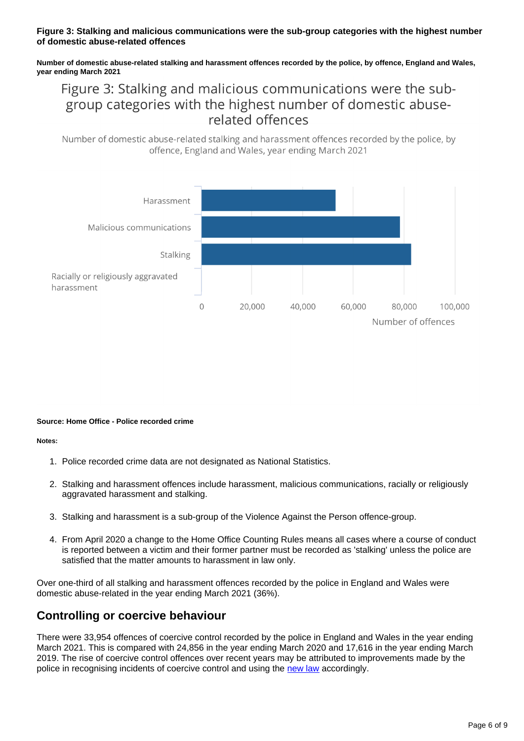#### **Figure 3: Stalking and malicious communications were the sub-group categories with the highest number of domestic abuse-related offences**

**Number of domestic abuse-related stalking and harassment offences recorded by the police, by offence, England and Wales, year ending March 2021**

### Figure 3: Stalking and malicious communications were the subgroup categories with the highest number of domestic abuserelated offences

Number of domestic abuse-related stalking and harassment offences recorded by the police, by offence, England and Wales, year ending March 2021



#### **Source: Home Office - Police recorded crime**

#### **Notes:**

- 1. Police recorded crime data are not designated as National Statistics.
- 2. Stalking and harassment offences include harassment, malicious communications, racially or religiously aggravated harassment and stalking.
- 3. Stalking and harassment is a sub-group of the Violence Against the Person offence-group.
- 4. From April 2020 a change to the Home Office Counting Rules means all cases where a course of conduct is reported between a victim and their former partner must be recorded as 'stalking' unless the police are satisfied that the matter amounts to harassment in law only.

Over one-third of all stalking and harassment offences recorded by the police in England and Wales were domestic abuse-related in the year ending March 2021 (36%).

#### **Controlling or coercive behaviour**

There were 33,954 offences of coercive control recorded by the police in England and Wales in the year ending March 2021. This is compared with 24,856 in the year ending March 2020 and 17,616 in the year ending March 2019. The rise of coercive control offences over recent years may be attributed to improvements made by the police in recognising incidents of coercive control and using the [new law](https://www.legislation.gov.uk/ukpga/2015/9) accordingly.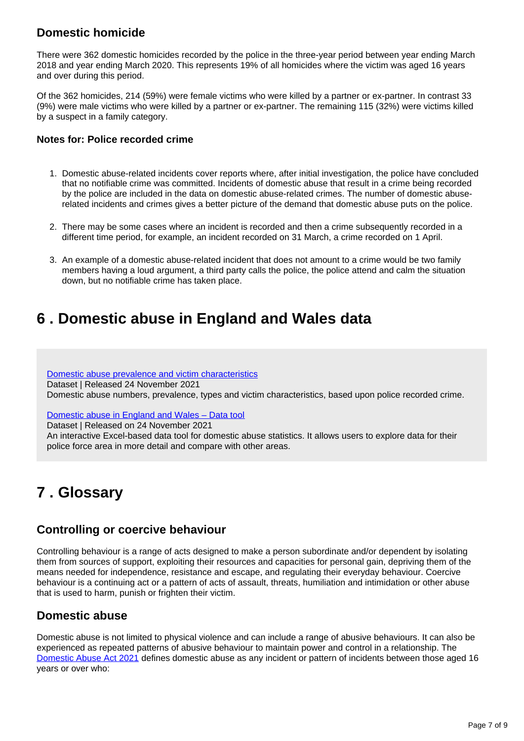### **Domestic homicide**

There were 362 domestic homicides recorded by the police in the three-year period between year ending March 2018 and year ending March 2020. This represents 19% of all homicides where the victim was aged 16 years and over during this period.

Of the 362 homicides, 214 (59%) were female victims who were killed by a partner or ex-partner. In contrast 33 (9%) were male victims who were killed by a partner or ex-partner. The remaining 115 (32%) were victims killed by a suspect in a family category.

#### **Notes for: Police recorded crime**

- 1. Domestic abuse-related incidents cover reports where, after initial investigation, the police have concluded that no notifiable crime was committed. Incidents of domestic abuse that result in a crime being recorded by the police are included in the data on domestic abuse-related crimes. The number of domestic abuserelated incidents and crimes gives a better picture of the demand that domestic abuse puts on the police.
- 2. There may be some cases where an incident is recorded and then a crime subsequently recorded in a different time period, for example, an incident recorded on 31 March, a crime recorded on 1 April.
- 3. An example of a domestic abuse-related incident that does not amount to a crime would be two family members having a loud argument, a third party calls the police, the police attend and calm the situation down, but no notifiable crime has taken place.

## <span id="page-6-0"></span>**6 . Domestic abuse in England and Wales data**

[Domestic abuse prevalence and victim characteristics](https://www.ons.gov.uk/peoplepopulationandcommunity/crimeandjustice/datasets/domesticabuseprevalenceandvictimcharacteristicsappendixtables) Dataset | Released 24 November 2021 Domestic abuse numbers, prevalence, types and victim characteristics, based upon police recorded crime.

#### [Domestic abuse in England and Wales – Data tool](https://www.ons.gov.uk/peoplepopulationandcommunity/crimeandjustice/datasets/domesticabuseinenglandandwalesdatatool)

Dataset | Released on 24 November 2021

An interactive Excel-based data tool for domestic abuse statistics. It allows users to explore data for their police force area in more detail and compare with other areas.

## <span id="page-6-1"></span>**7 . Glossary**

#### **Controlling or coercive behaviour**

Controlling behaviour is a range of acts designed to make a person subordinate and/or dependent by isolating them from sources of support, exploiting their resources and capacities for personal gain, depriving them of the means needed for independence, resistance and escape, and regulating their everyday behaviour. Coercive behaviour is a continuing act or a pattern of acts of assault, threats, humiliation and intimidation or other abuse that is used to harm, punish or frighten their victim.

#### **Domestic abuse**

Domestic abuse is not limited to physical violence and can include a range of abusive behaviours. It can also be experienced as repeated patterns of abusive behaviour to maintain power and control in a relationship. The [Domestic Abuse Act 2021](http://www.legislation.gov.uk/ukpga/2021/17/contents/enacted) defines domestic abuse as any incident or pattern of incidents between those aged 16 years or over who: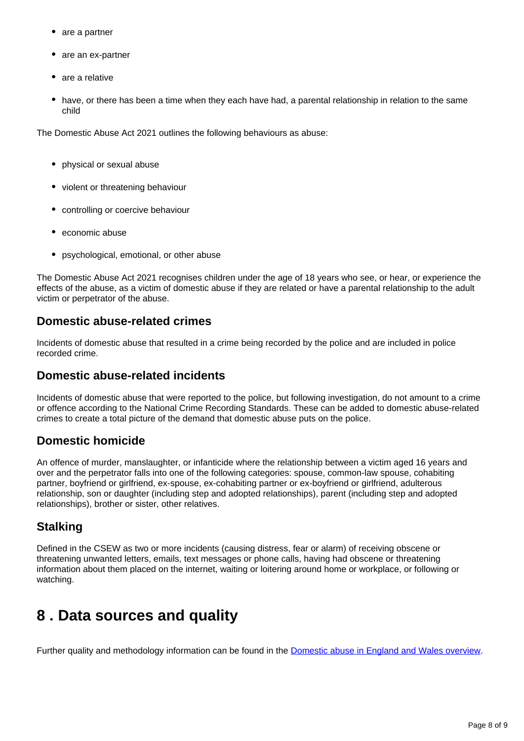- are a partner
- are an ex-partner
- are a relative
- have, or there has been a time when they each have had, a parental relationship in relation to the same child

The Domestic Abuse Act 2021 outlines the following behaviours as abuse:

- physical or sexual abuse
- violent or threatening behaviour
- controlling or coercive behaviour
- economic abuse
- psychological, emotional, or other abuse

The Domestic Abuse Act 2021 recognises children under the age of 18 years who see, or hear, or experience the effects of the abuse, as a victim of domestic abuse if they are related or have a parental relationship to the adult victim or perpetrator of the abuse.

### **Domestic abuse-related crimes**

Incidents of domestic abuse that resulted in a crime being recorded by the police and are included in police recorded crime.

#### **Domestic abuse-related incidents**

Incidents of domestic abuse that were reported to the police, but following investigation, do not amount to a crime or offence according to the National Crime Recording Standards. These can be added to domestic abuse-related crimes to create a total picture of the demand that domestic abuse puts on the police.

### **Domestic homicide**

An offence of murder, manslaughter, or infanticide where the relationship between a victim aged 16 years and over and the perpetrator falls into one of the following categories: spouse, common-law spouse, cohabiting partner, boyfriend or girlfriend, ex-spouse, ex-cohabiting partner or ex-boyfriend or girlfriend, adulterous relationship, son or daughter (including step and adopted relationships), parent (including step and adopted relationships), brother or sister, other relatives.

### **Stalking**

Defined in the CSEW as two or more incidents (causing distress, fear or alarm) of receiving obscene or threatening unwanted letters, emails, text messages or phone calls, having had obscene or threatening information about them placed on the internet, waiting or loitering around home or workplace, or following or watching.

## <span id="page-7-0"></span>**8 . Data sources and quality**

Further quality and methodology information can be found in the [Domestic abuse in England and Wales overview](https://www.ons.gov.uk/peoplepopulationandcommunity/crimeandjustice/bulletins/domesticabuseinenglandandwalesoverview/november2021).